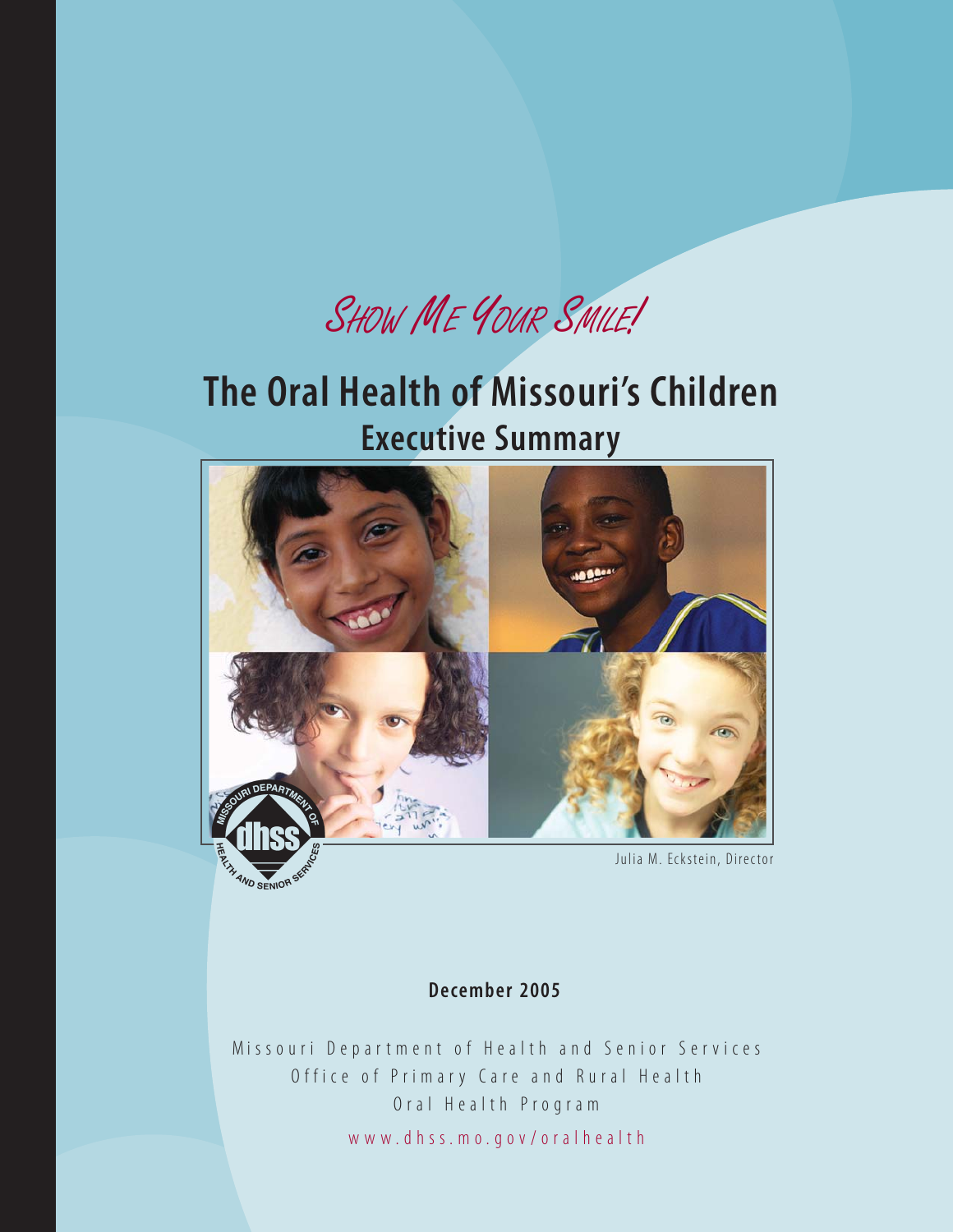SHOW ME YOUR SMILE!

# **The Oral Health of Missouri's Children Executive Summary**



# **December 2005**

Missouri Department of Health and Senior Services Office of Primary Care and Rural Health Oral Health Program www.dhss.mo.gov/oralhealth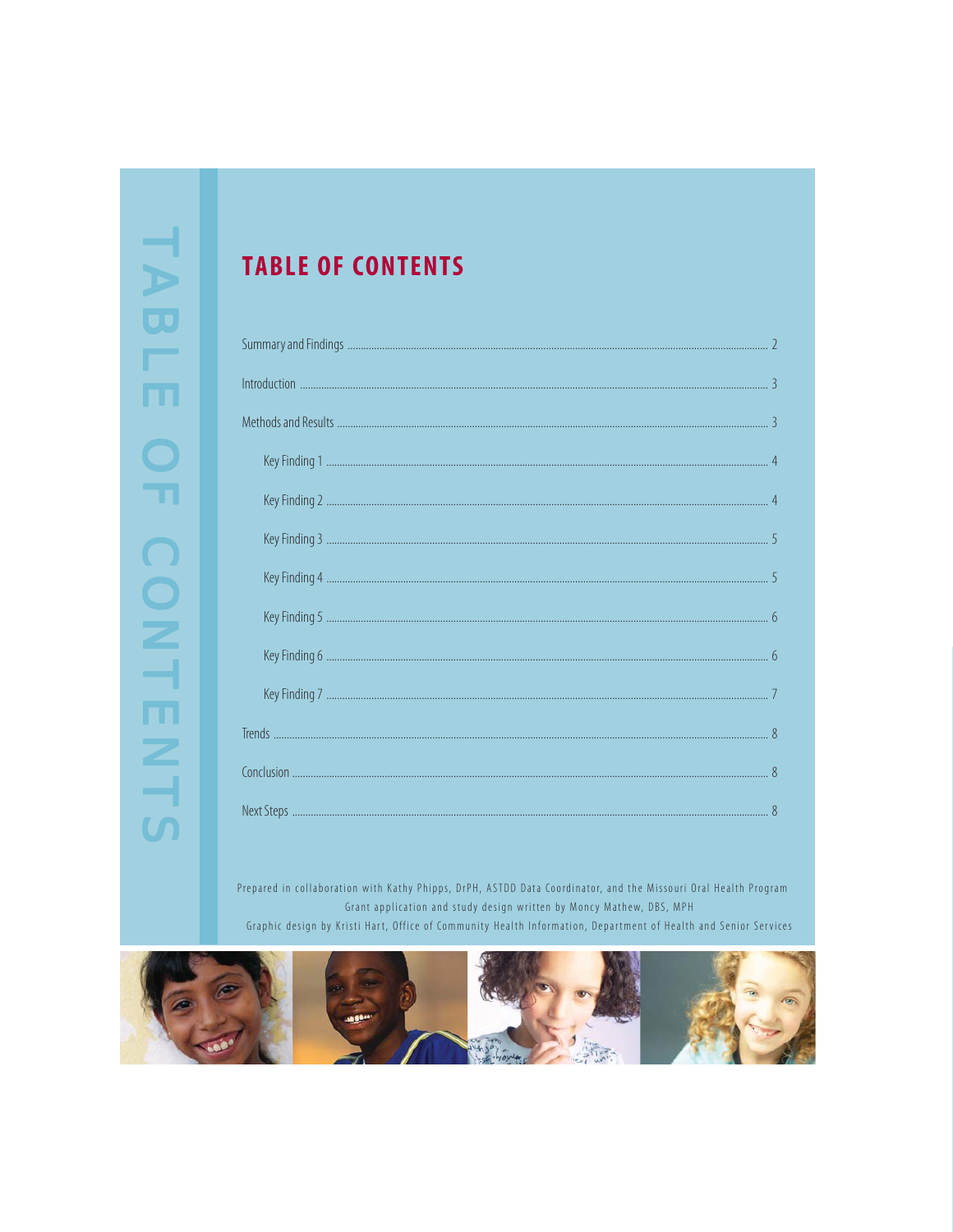# **TABLE OF CONTENTS**

Prepared in collaboration with Kathy Phipps, DrPH, ASTDD Data Coordinator, and the Missouri Oral Health Program Grant application and study design written by Moncy Mathew, DBS, MPH Graphic design by Kristi Hart, Office of Community Health Information, Department of Health and Senior Services

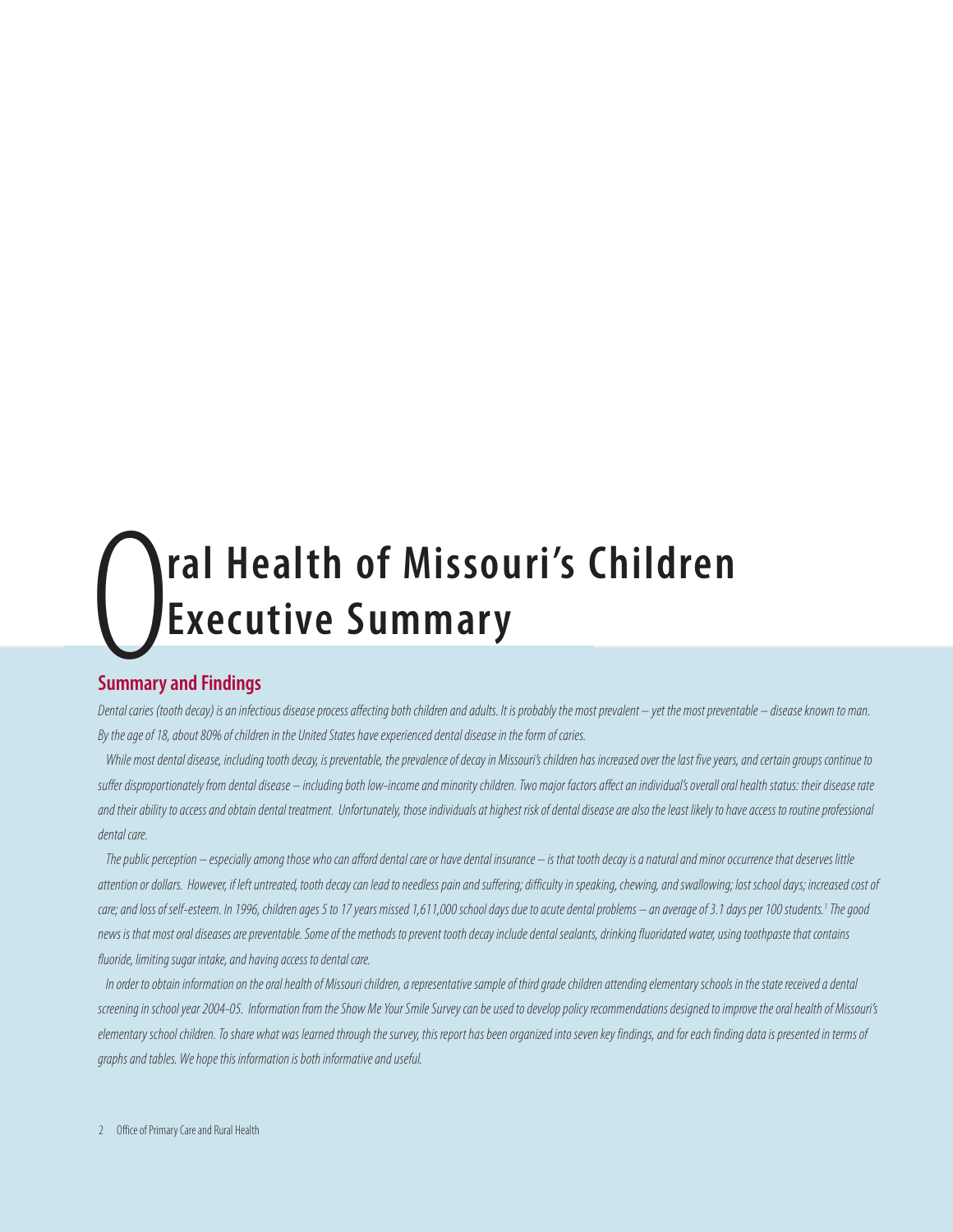# **Executive Summary ral Health of Missouri's Children**

# **Summary and Findings**

Dental caries (tooth decay) is an infectious disease process affecting both children and adults. It is probably the most prevalent – yet the most preventable – disease known to man. By the age of 18, about 80% of children in the United States have experienced dental disease in the form of caries.

While most dental disease, including tooth decay, is preventable, the prevalence of decay in Missouri's children has increased over the last five years, and certain groups continue to suffer disproportionately from dental disease – including both low-income and minority children. Two major factors affect an individual's overall oral health status: their disease rate and their ability to access and obtain dental treatment. Unfortunately, those individuals at highest risk of dental disease are also the least likely to have access to routine professional dental care.

The public perception – especially among those who can afford dental care or have dental insurance – is that tooth decay is a natural and minor occurrence that deserves little attention or dollars. However, if left untreated, tooth decay can lead to needless pain and suffering; difficulty in speaking, chewing, and swallowing; lost school days; increased cost of care; and loss of self-esteem. In 1996, children ages 5 to 17 years missed 1,611,000 school days due to acute dental problems — an average of 3.1 days per 100 students.' The good news is that most oral diseases are preventable. Some of the methods to prevent tooth decay include dental sealants, drinking fluoridated water, using toothpaste that contains fluoride, limiting sugar intake, and having access to dental care.

In order to obtain information on the oral health of Missouri children, a representative sample of third grade children attending elementary schools in the state received a dental screening in school year 2004-05. Information from the Show Me Your Smile Survey can be used to develop policy recommendations designed to improve the oral health of Missouri's elementary school children. To share what was learned through the survey, this report has been organized into seven key findings, and for each finding data is presented in terms of graphs and tables. We hope this information is both informative and useful.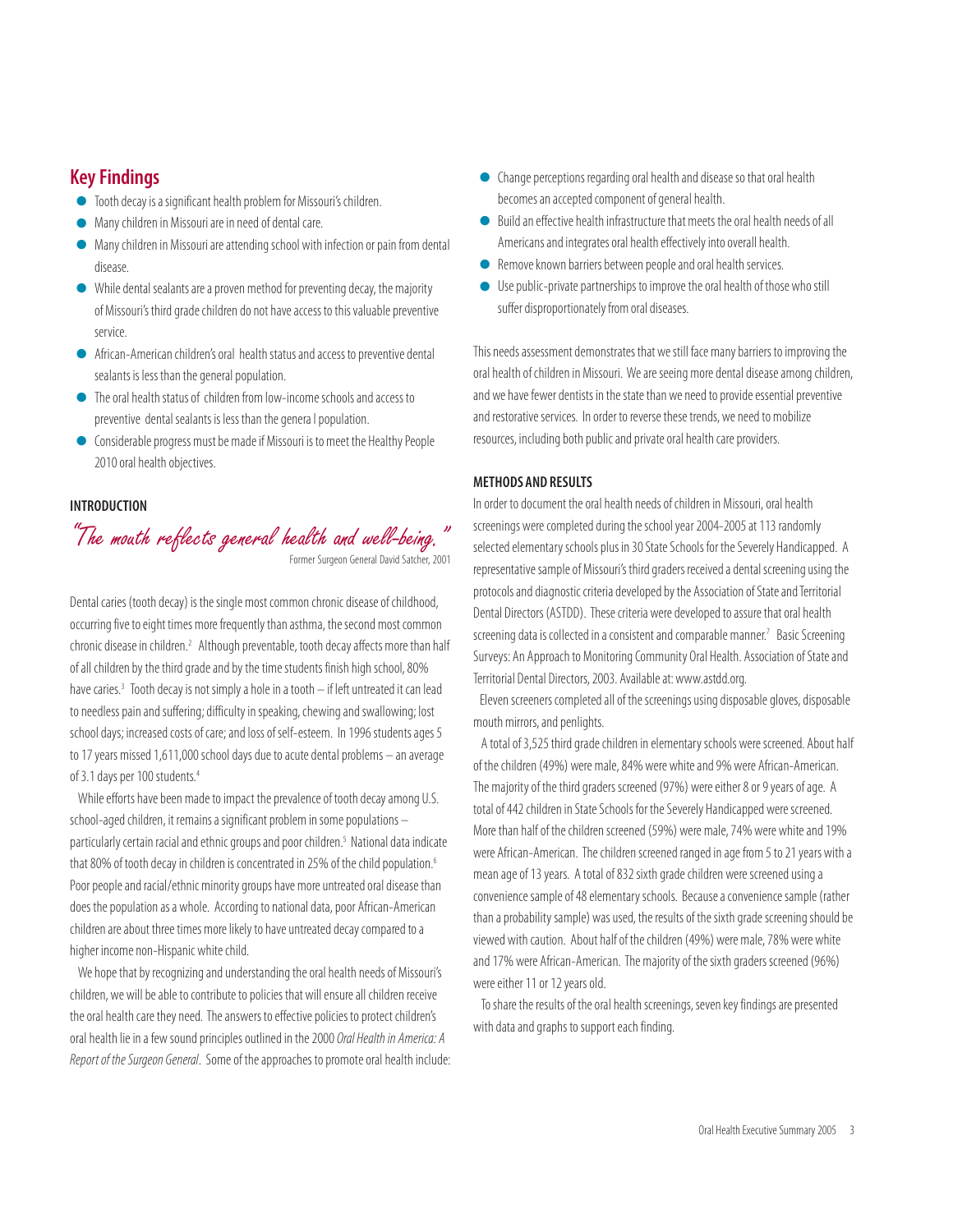# **Key Findings**

- Tooth decay is a significant health problem for Missouri's children.
- Many children in Missouri are in need of dental care.
- Many children in Missouri are attending school with infection or pain from dental disease.
- <sup>Q</sup> While dental sealants are a proven method for preventing decay, the majority of Missouri's third grade children do not have access to this valuable preventive service.
- <sup>Q</sup> African-American children's oral health status and access to preventive dental sealants is less than the general population.
- <sup>Q</sup> The oral health status of children from low-income schools and access to preventive dental sealants is less than the genera l population.
- Considerable progress must be made if Missouri is to meet the Healthy People 2010 oral health objectives.

#### **INTRODUCTION**

"The mouth reflects general health and well-being." Former Surgeon General David Satcher, 2001

Dental caries (tooth decay) is the single most common chronic disease of childhood, occurring five to eight times more frequently than asthma, the second most common chronic disease in children.<sup>2</sup> Although preventable, tooth decay affects more than half of all children by the third grade and by the time students finish high school, 80% have caries.<sup>3</sup> Tooth decay is not simply a hole in a tooth - if left untreated it can lead to needless pain and suffering; difficulty in speaking, chewing and swallowing; lost school days; increased costs of care; and loss of self-esteem. In 1996 students ages 5 to 17 years missed 1,611,000 school days due to acute dental problems – an average of 3.1 days per 100 students.<sup>4</sup>

While efforts have been made to impact the prevalence of tooth decay among U.S. school-aged children, it remains a significant problem in some populations – particularly certain racial and ethnic groups and poor children.5 National data indicate that 80% of tooth decay in children is concentrated in 25% of the child population.<sup>6</sup> Poor people and racial/ethnic minority groups have more untreated oral disease than does the population as a whole. According to national data, poor African-American children are about three times more likely to have untreated decay compared to a higher income non-Hispanic white child.

We hope that by recognizing and understanding the oral health needs of Missouri's children, we will be able to contribute to policies that will ensure all children receive the oral health care they need. The answers to effective policies to protect children's oral health lie in a few sound principles outlined in the 2000 Oral Health in America: A Report of the Surgeon General. Some of the approaches to promote oral health include:

- <sup>Q</sup> Change perceptions regarding oral health and disease so that oral health becomes an accepted component of general health.
- <sup>Q</sup> Build an effective health infrastructure that meets the oral health needs of all Americans and integrates oral health effectively into overall health.
- Remove known barriers between people and oral health services.
- <sup>Q</sup> Use public-private partnerships to improve the oral health of those who still suffer disproportionately from oral diseases.

This needs assessment demonstrates that we still face many barriers to improving the oral health of children in Missouri. We are seeing more dental disease among children, and we have fewer dentists in the state than we need to provide essential preventive and restorative services. In order to reverse these trends, we need to mobilize resources, including both public and private oral health care providers.

#### **METHODS AND RESULTS**

screening data is collected in a consistent and comparable manner.<sup>7</sup> Basic Screening<br>Surveys: An Approach to Monitoring Community Oral Health, Association of State and In order to document the oral health needs of children in Missouri, oral health screenings were completed during the school year 2004-2005 at 113 randomly selected elementary schools plus in 30 State Schools for the Severely Handicapped. A representative sample of Missouri's third graders received a dental screening using the protocols and diagnostic criteria developed by the Association of State and Territorial Dental Directors (ASTDD). These criteria were developed to assure that oral health Surveys: An Approach to Monitoring Community Oral Health. Association of State and Territorial Dental Directors, 2003. Available at: www.astdd.org.

 Eleven screeners completed all of the screenings using disposable gloves, disposable mouth mirrors, and penlights.

A total of 3,525 third grade children in elementary schools were screened. About half of the children (49%) were male, 84% were white and 9% were African-American. The majority of the third graders screened (97%) were either 8 or 9 years of age. A total of 442 children in State Schools for the Severely Handicapped were screened. More than half of the children screened (59%) were male, 74% were white and 19% were African-American. The children screened ranged in age from 5 to 21 years with a mean age of 13 years. A total of 832 sixth grade children were screened using a convenience sample of 48 elementary schools. Because a convenience sample (rather than a probability sample) was used, the results of the sixth grade screening should be viewed with caution. About half of the children (49%) were male, 78% were white and 17% were African-American. The majority of the sixth graders screened (96%) were either 11 or 12 years old.

To share the results of the oral health screenings, seven key findings are presented with data and graphs to support each finding.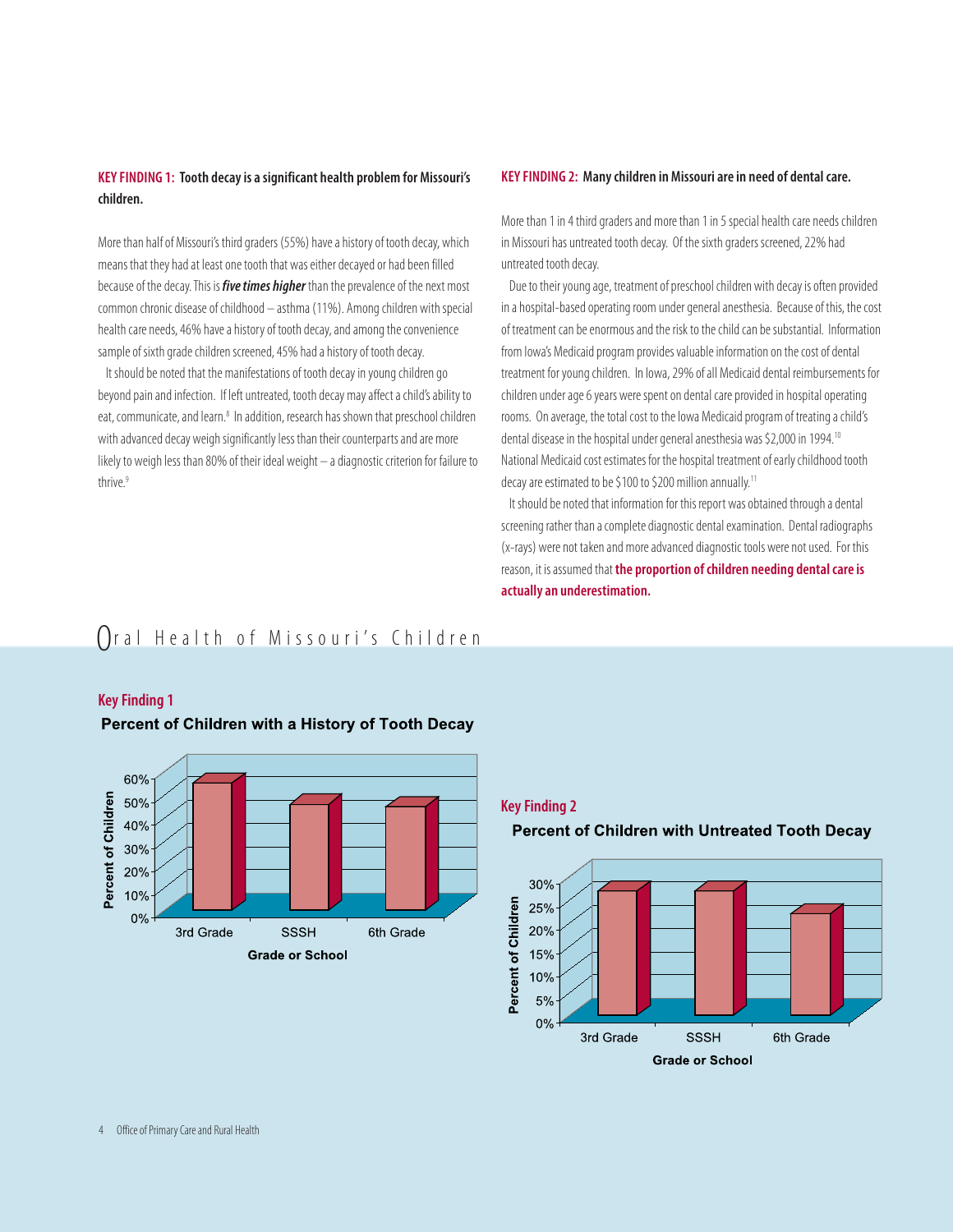#### **KEY FINDING 1: Tooth decay is a significant health problem for Missouri's children.**

More than half of Missouri's third graders (55%) have a history of tooth decay, which means that they had at least one tooth that was either decayed or had been filled because of the decay. This is **five times higher** than the prevalence of the next most common chronic disease of childhood – asthma (11%). Among children with special health care needs, 46% have a history of tooth decay, and among the convenience sample of sixth grade children screened, 45% had a history of tooth decay.

It should be noted that the manifestations of tooth decay in young children go beyond pain and infection. If left untreated, tooth decay may affect a child's ability to eat, communicate, and learn.<sup>8</sup> In addition, research has shown that preschool children with advanced decay weigh significantly less than their counterparts and are more likely to weigh less than 80% of their ideal weight – a diagnostic criterion for failure to thrive<sup>9</sup>

#### **KEY FINDING 2: Many children in Missouri are in need of dental care.**

More than 1 in 4 third graders and more than 1 in 5 special health care needs children in Missouri has untreated tooth decay. Of the sixth graders screened, 22% had untreated tooth decay.

Due to their young age, treatment of preschool children with decay is often provided in a hospital-based operating room under general anesthesia. Because of this, the cost of treatment can be enormous and the risk to the child can be substantial. Information from Iowa's Medicaid program provides valuable information on the cost of dental treatment for young children. In Iowa, 29% of all Medicaid dental reimbursements for children under age 6 years were spent on dental care provided in hospital operating rooms. On average, the total cost to the Iowa Medicaid program of treating a child's dental disease in the hospital under general anesthesia was \$2,000 in 1994.10 National Medicaid cost estimates for the hospital treatment of early childhood tooth decay are estimated to be \$100 to \$200 million annually.11

It should be noted that information for this report was obtained through a dental screening rather than a complete diagnostic dental examination. Dental radiographs (x-rays) were not taken and more advanced diagnostic tools were not used. For this reason, it is assumed that **the proportion of children needing dental care is actually an underestimation.**

# Oral Health of Missouri's Children



# **Key Finding 1**

**Key Finding 2**

# Percent of Children with Untreated Tooth Decay

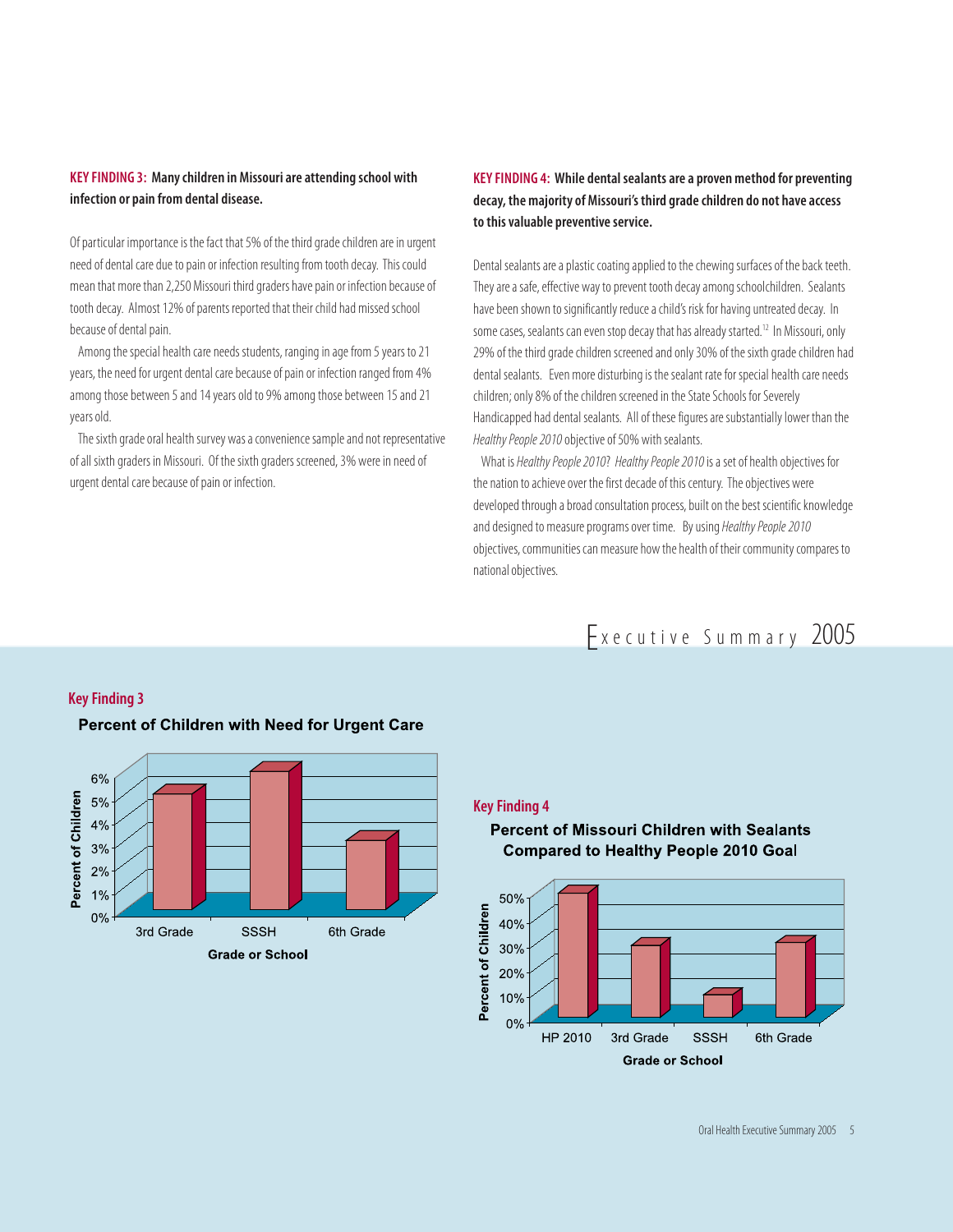## **KEY FINDING 3: Many children in Missouri are attending school with infection or pain from dental disease.**

Of particular importance is the fact that 5% of the third grade children are in urgent need of dental care due to pain or infection resulting from tooth decay. This could mean that more than 2,250 Missouri third graders have pain or infection because of tooth decay. Almost 12% of parents reported that their child had missed school because of dental pain.

Among the special health care needs students, ranging in age from 5 years to 21 years, the need for urgent dental care because of pain or infection ranged from 4% among those between 5 and 14 years old to 9% among those between 15 and 21 years old.

The sixth grade oral health survey was a convenience sample and not representative of all sixth graders in Missouri. Of the sixth graders screened, 3% were in need of urgent dental care because of pain or infection.

# **KEY FINDING 4: While dental sealants are a proven method for preventing decay, the majority of Missouri's third grade children do not have access to this valuable preventive service.**

Dental sealants are a plastic coating applied to the chewing surfaces of the back teeth. They are a safe, effective way to prevent tooth decay among schoolchildren. Sealants have been shown to significantly reduce a child's risk for having untreated decay. In some cases, sealants can even stop decay that has already started.<sup>12</sup> In Missouri, only 29% of the third grade children screened and only 30% of the sixth grade children had dental sealants. Even more disturbing is the sealant rate for special health care needs children; only 8% of the children screened in the State Schools for Severely Handicapped had dental sealants. All of these figures are substantially lower than the Healthy People 2010 objective of 50% with sealants.

What is Healthy People 2010? Healthy People 2010 is a set of health objectives for the nation to achieve over the first decade of this century. The objectives were developed through a broad consultation process, built on the best scientific knowledge and designed to measure programs over time. By using Healthy People 2010 objectives, communities can measure how the health of their community compares to national objectives.

# Executive Summary 2005



# Percent of Children with Need for Urgent Care

**Key Finding 3**

#### **Key Finding 4**

**Percent of Missouri Children with Sealants Compared to Healthy People 2010 Goal** 

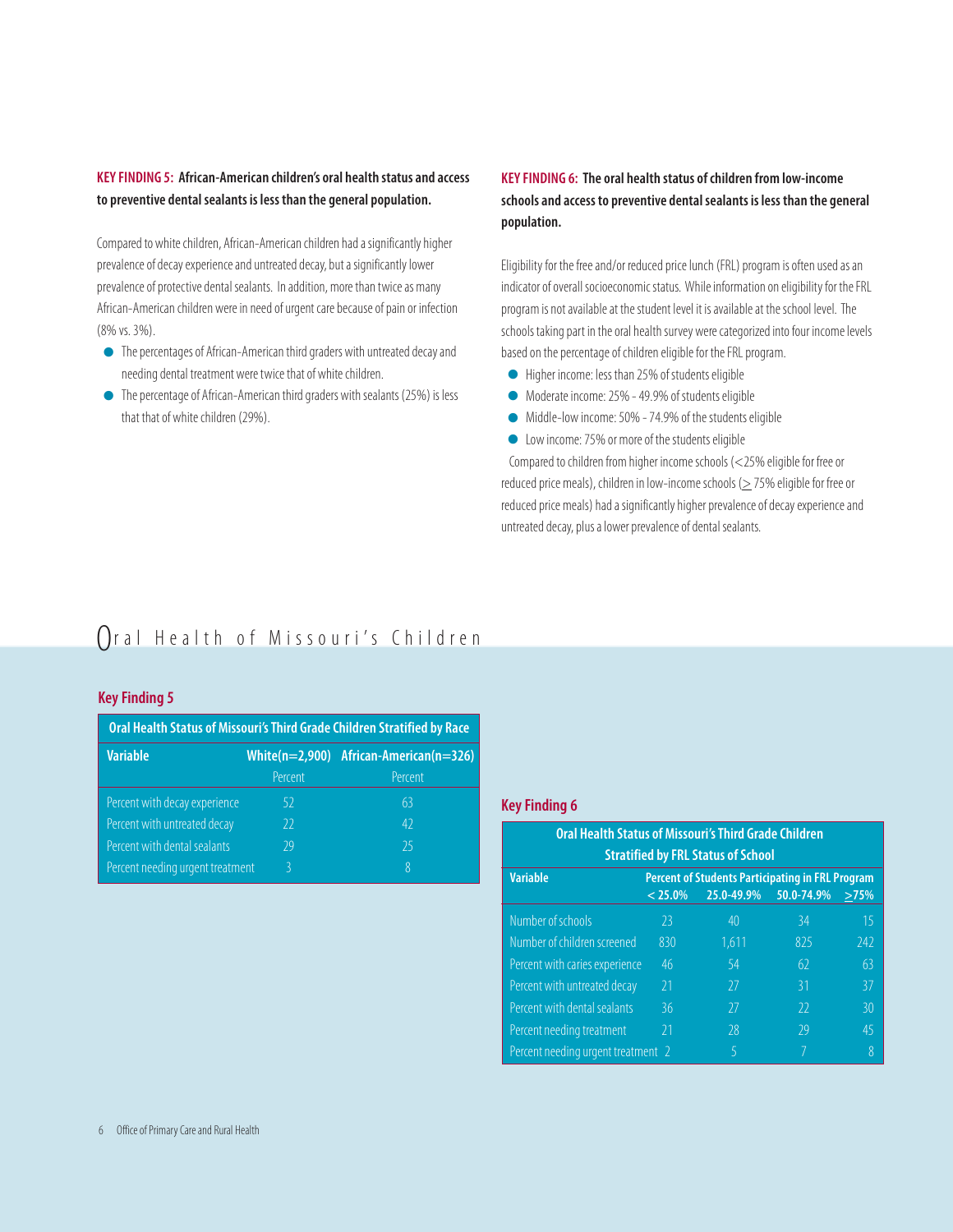### **KEY FINDING 5: African-American children's oral health status and access to preventive dental sealants is less than the general population.**

Compared to white children, African-American children had a significantly higher prevalence of decay experience and untreated decay, but a significantly lower prevalence of protective dental sealants. In addition, more than twice as many African-American children were in need of urgent care because of pain or infection (8% vs. 3%).

- <sup>Q</sup> The percentages of African-American third graders with untreated decay and needing dental treatment were twice that of white children.
- <sup>Q</sup> The percentage of African-American third graders with sealants (25%) is less that that of white children (29%).

# **KEY FINDING 6: The oral health status of children from low-income schools and access to preventive dental sealants is less than the general population.**

Eligibility for the free and/or reduced price lunch (FRL) program is often used as an indicator of overall socioeconomic status. While information on eligibility for the FRL program is not available at the student level it is available at the school level. The schools taking part in the oral health survey were categorized into four income levels based on the percentage of children eligible for the FRL program.

- <sup>Q</sup> Higher income: less than 25% of students eligible
- <sup>Q</sup> Moderate income: 25% 49.9% of students eligible
- <sup>Q</sup> Middle-low income: 50% 74.9% of the students eligible
- Low income: 75% or more of the students eligible

Compared to children from higher income schools (<25% eligible for free or reduced price meals), children in low-income schools ( $\geq$  75% eligible for free or reduced price meals) had a significantly higher prevalence of decay experience and untreated decay, plus a lower prevalence of dental sealants.

# Oral Health of Missouri's Children

#### **Key Finding 5**

| Oral Health Status of Missouri's Third Grade Children Stratified by Race |               |                                                |  |  |  |  |  |
|--------------------------------------------------------------------------|---------------|------------------------------------------------|--|--|--|--|--|
| <b>Variable</b>                                                          |               | White( $n=2,900$ ) African-American( $n=326$ ) |  |  |  |  |  |
|                                                                          | Percent       | Percent                                        |  |  |  |  |  |
| Percent with decay experience                                            | -52           | 63                                             |  |  |  |  |  |
| Percent with untreated decay                                             | $\mathcal{V}$ | 42                                             |  |  |  |  |  |
| Percent with dental sealants                                             | 79            | 25                                             |  |  |  |  |  |
| Percent needing urgent treatment                                         |               | 8                                              |  |  |  |  |  |

#### **Key Finding 6**

| Oral Health Status of Missouri's Third Grade Children<br><b>Stratified by FRL Status of School</b> |            |                                                                       |                |            |  |  |
|----------------------------------------------------------------------------------------------------|------------|-----------------------------------------------------------------------|----------------|------------|--|--|
| <b>Variable</b>                                                                                    | $< 25.0\%$ | <b>Percent of Students Participating in FRL Program</b><br>25.0-49.9% | 50.0-74.9%     | >75%       |  |  |
| Number of schools                                                                                  | 23         | 40                                                                    | 34             | 15         |  |  |
| Number of children screened                                                                        | 830        | 1.611                                                                 | 825            | <b>242</b> |  |  |
| Percent with caries experience                                                                     | 46         | 54                                                                    | 62             | 63         |  |  |
| Percent with untreated decay                                                                       | 21         | 77                                                                    | 31             | 37         |  |  |
| Percent with dental sealants                                                                       | 36         | 77                                                                    | $\mathfrak{D}$ | 30         |  |  |
| Percent needing treatment                                                                          | 21         | 28                                                                    | 29             | 45         |  |  |
| Percent needing urgent treatment 2                                                                 |            | 5                                                                     |                | 8          |  |  |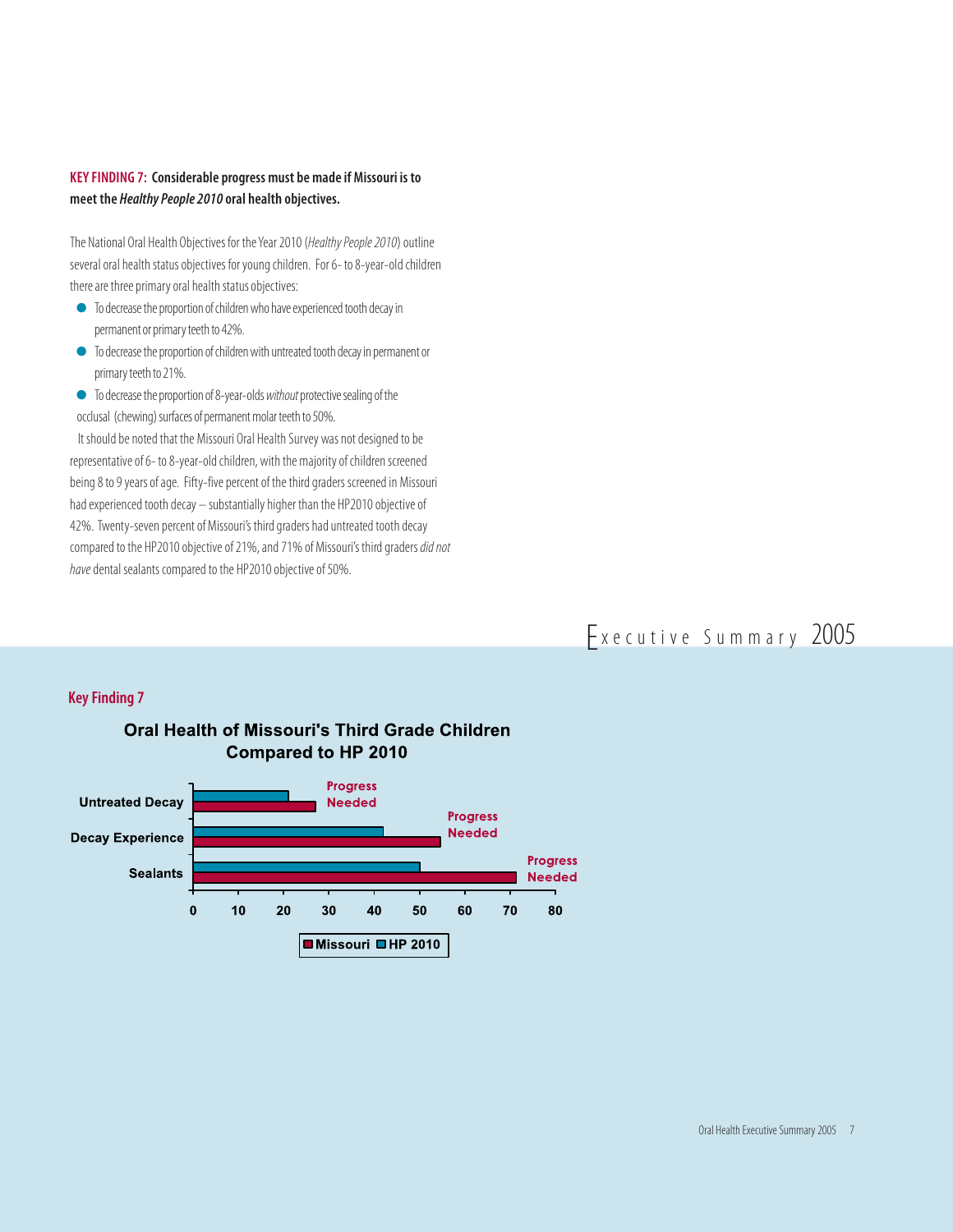## **KEY FINDING 7: Considerable progress must be made if Missouri is to meet the Healthy People 2010 oral health objectives.**

The National Oral Health Objectives for the Year 2010 (Healthy People 2010) outline several oral health status objectives for young children. For 6- to 8-year-old children there are three primary oral health status objectives:

- $\bullet$  To decrease the proportion of children who have experienced tooth decay in permanent or primary teeth to 42%.
- $\bullet$  To decrease the proportion of children with untreated tooth decay in permanent or primary teeth to 21%.
- $\bullet$  To decrease the proportion of 8-year-olds without protective sealing of the occlusal (chewing) surfaces of permanent molar teeth to 50%.

It should be noted that the Missouri Oral Health Survey was not designed to be representative of 6- to 8-year-old children, with the majority of children screened being 8 to 9 years of age. Fifty-five percent of the third graders screened in Missouri had experienced tooth decay – substantially higher than the HP2010 objective of 42%. Twenty-seven percent of Missouri's third graders had untreated tooth decay compared to the HP2010 objective of 21%, and 71% of Missouri's third graders did not have dental sealants compared to the HP2010 objective of 50%.

# Executive Summary 2005

#### **Key Finding 7**



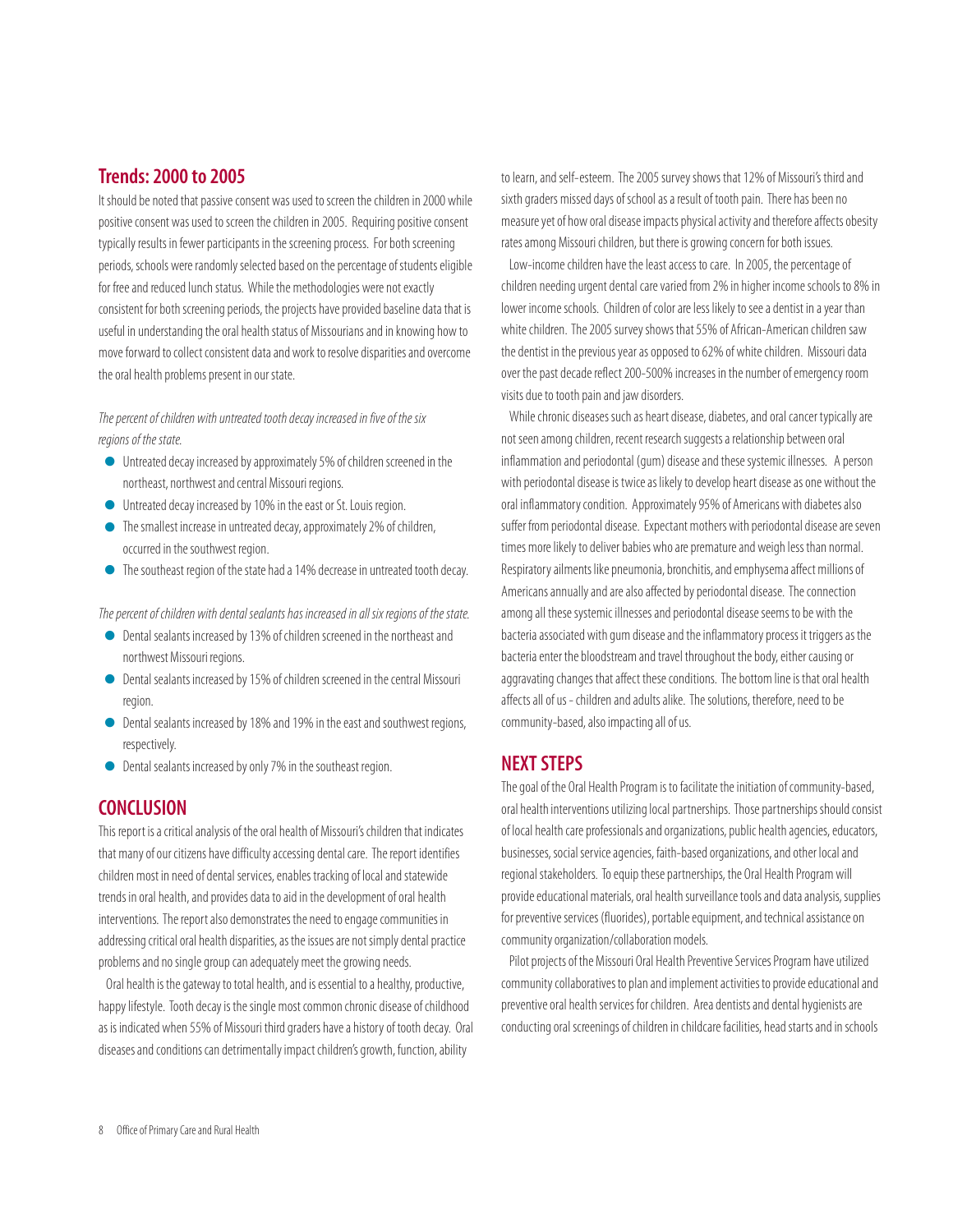# **Trends: 2000 to 2005**

It should be noted that passive consent was used to screen the children in 2000 while positive consent was used to screen the children in 2005. Requiring positive consent typically results in fewer participants in the screening process. For both screening periods, schools were randomly selected based on the percentage of students eligible for free and reduced lunch status. While the methodologies were not exactly consistent for both screening periods, the projects have provided baseline data that is useful in understanding the oral health status of Missourians and in knowing how to move forward to collect consistent data and work to resolve disparities and overcome the oral health problems present in our state.

The percent of children with untreated tooth decay increased in five of the six regions of the state.

- <sup>Q</sup> Untreated decay increased by approximately 5% of children screened in the northeast, northwest and central Missouri regions.
- <sup>Q</sup> Untreated decay increased by 10% in the east or St. Louis region.
- The smallest increase in untreated decay, approximately 2% of children, occurred in the southwest region.
- <sup>Q</sup> The southeast region of the state had a 14% decrease in untreated tooth decay.

The percent of children with dental sealants has increased in all six regions of the state.

- O Dental sealants increased by 13% of children screened in the northeast and<br>northwest Missouri regions northwest Missouri regions.
- Dental sealants increased by 15% of children screened in the central Missouri region.
- Dental sealants increased by 18% and 19% in the east and southwest regions, respectively.
- <sup>Q</sup> Dental sealants increased by only 7% in the southeast region.

## **CONCLUSION**

This report is a critical analysis of the oral health of Missouri's children that indicates that many of our citizens have difficulty accessing dental care. The report identifies children most in need of dental services, enables tracking of local and statewide trends in oral health, and provides data to aid in the development of oral health interventions. The report also demonstrates the need to engage communities in addressing critical oral health disparities, as the issues are not simply dental practice problems and no single group can adequately meet the growing needs.

Oral health is the gateway to total health, and is essential to a healthy, productive, happy lifestyle. Tooth decay is the single most common chronic disease of childhood as is indicated when 55% of Missouri third graders have a history of tooth decay. Oral diseases and conditions can detrimentally impact children's growth, function, ability

to learn, and self-esteem. The 2005 survey shows that 12% of Missouri's third and sixth graders missed days of school as a result of tooth pain. There has been no measure yet of how oral disease impacts physical activity and therefore affects obesity rates among Missouri children, but there is growing concern for both issues.

Low-income children have the least access to care. In 2005, the percentage of children needing urgent dental care varied from 2% in higher income schools to 8% in lower income schools. Children of color are less likely to see a dentist in a year than white children. The 2005 survey shows that 55% of African-American children saw the dentist in the previous year as opposed to 62% of white children. Missouri data over the past decade reflect 200-500% increases in the number of emergency room visits due to tooth pain and jaw disorders.

While chronic diseases such as heart disease, diabetes, and oral cancer typically are not seen among children, recent research suggests a relationship between oral inflammation and periodontal (gum) disease and these systemic illnesses. A person with periodontal disease is twice as likely to develop heart disease as one without the oral inflammatory condition. Approximately 95% of Americans with diabetes also suffer from periodontal disease. Expectant mothers with periodontal disease are seven times more likely to deliver babies who are premature and weigh less than normal. Respiratory ailments like pneumonia, bronchitis, and emphysema affect millions of Americans annually and are also affected by periodontal disease. The connection among all these systemic illnesses and periodontal disease seems to be with the bacteria associated with gum disease and the inflammatory process it triggers as the bacteria enter the bloodstream and travel throughout the body, either causing or aggravating changes that affect these conditions. The bottom line is that oral health affects all of us - children and adults alike. The solutions, therefore, need to be community-based, also impacting all of us.

# **NEXT STEPS**

The goal of the Oral Health Program is to facilitate the initiation of community-based, oral health interventions utilizing local partnerships. Those partnerships should consist of local health care professionals and organizations, public health agencies, educators, businesses, social service agencies, faith-based organizations, and other local and regional stakeholders. To equip these partnerships, the Oral Health Program will provide educational materials, oral health surveillance tools and data analysis, supplies for preventive services (fluorides), portable equipment, and technical assistance on community organization/collaboration models.

Pilot projects of the Missouri Oral Health Preventive Services Program have utilized community collaboratives to plan and implement activities to provide educational and preventive oral health services for children. Area dentists and dental hygienists are conducting oral screenings of children in childcare facilities, head starts and in schools